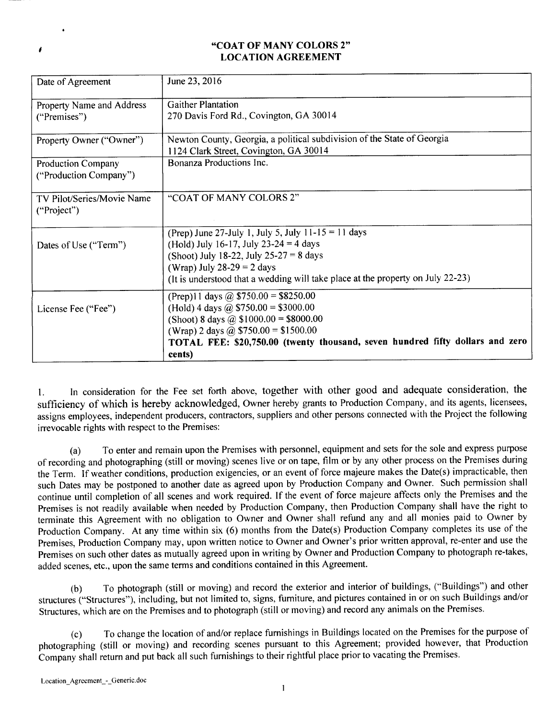## COAT OF MANY COLORS 2" LOCATION AGREEMENT

| Date of Agreement                                   | June 23, 2016                                                                                                                                                                                                                                                 |
|-----------------------------------------------------|---------------------------------------------------------------------------------------------------------------------------------------------------------------------------------------------------------------------------------------------------------------|
| Property Name and Address<br>("Premises")           | <b>Gaither Plantation</b><br>270 Davis Ford Rd., Covington, GA 30014                                                                                                                                                                                          |
| Property Owner ("Owner")                            | Newton County, Georgia, a political subdivision of the State of Georgia<br>1124 Clark Street, Covington, GA 30014                                                                                                                                             |
| <b>Production Company</b><br>("Production Company") | Bonanza Productions Inc.                                                                                                                                                                                                                                      |
| TV Pilot/Series/Movie Name<br>("Project")           | "COAT OF MANY COLORS 2"                                                                                                                                                                                                                                       |
| Dates of Use ("Term")                               | (Prep) June 27-July 1, July 5, July $11-15 = 11$ days<br>(Hold) July 16-17, July 23-24 = 4 days<br>(Shoot) July 18-22, July 25-27 = 8 days<br>(Wrap) July $28-29 = 2$ days<br>(It is understood that a wedding will take place at the property on July 22-23) |
| License Fee ("Fee")                                 | (Prep)11 days @ $$750.00 = $8250.00$<br>(Hold) 4 days @ $$750.00 = $3000.00$<br>(Shoot) 8 days @ $$1000.00 = $8000.00$<br>(Wrap) 2 days @ $$750.00 = $1500.00$<br>TOTAL FEE: \$20,750.00 (twenty thousand, seven hundred fifty dollars and zero<br>cents)     |

1. In consideration for the Fee set forth above, together with other good and adequate consideration, the sufficiency of which is hereby acknowledged, Owner hereby grants to Production Company, and its agents, licensees, assigns employees, independent producers, contractors, suppliers and other persons connected with the Project the following irrevocable rights with respect to the Premises:

a) To enter and remain upon the Premises with personnel, equipment and sets for the sole and express purpose of recording and photographing ( still or moving) scenes live or on tape, film or by any other process on the Premises during the Term. If weather conditions, production exigencies, or an event of force majeure makes the Date(s) impracticable, then such Dates may be postponed to another date as agreed upon by Production Company and Owner. Such permission shall continue until completion of all scenes and work required. If the event of force majeure affects only the Premises and the Premises is not readily available when needed by Production Company, then Production Company shall have the right to terminate this Agreement with no obligation to Owner and Owner shall refund any and all monies paid to Owner by Production Company. At any time within six (6) months from the Date(s) Production Company completes its use of the Premises, Production Company may, upon written notice to Owner and Owner's prior written approval, re-enter and use the Premises on such other dates as mutually agreed upon in writing by Owner and Production Company to photograph re-takes, added scenes, etc., upon the same terms and conditions contained in this Agreement.

b) To photograph ( still or moving) and record the exterior and interior of buildings, (" Buildings") and other structures ("Structures"), including, but not limited to, signs, furniture, and pictures contained in or on such Buildings and/or Structures, which are on the Premises and to photograph (still or moving) and record any animals on the Premises.

c) To change the location of and/or replace furnishings in Buildings located on the Premises for the purpose of photographing (still or moving) and recording scenes pursuant to this Agreement; provided however, that Production Company shall return and put back all such furnishings to their rightful place prior to vacating the Premises.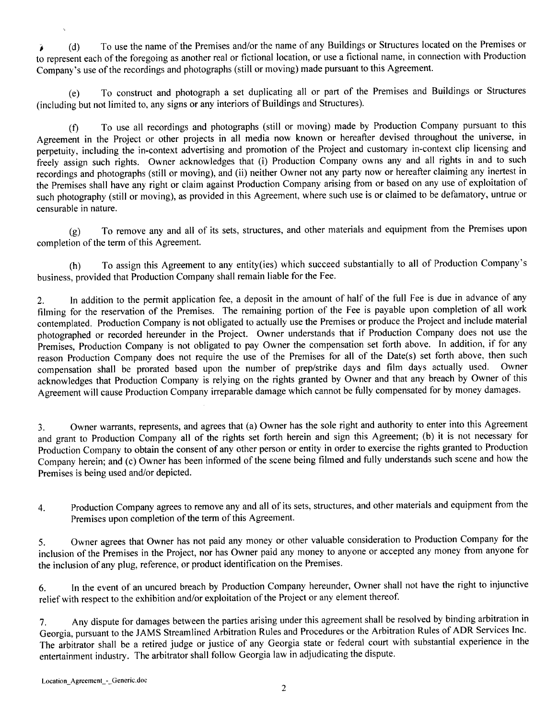<sup>p</sup> d) To use the name of the Premises and/or the name of any Buildings or Structures located on the Premises or to represent each of the foregoing as another real or fictional location, or use <sup>a</sup> fictional name, in connection with Production Company's use of the recordings and photographs (still or moving) made pursuant to this Agreement.

To construct and photograph a set duplicating all or part of the Premises and Buildings or Structures including but not limited to, any signs or any interiors of Buildings and Structures).

f) To use all recordings and photographs ( still or moving) made by Production Company pursuant to this Agreement in the Project or other projects in all media now known or hereafter devised throughout the universe, in perpetuity, including the in- context advertising and promotion of the Project and customary in-context clip licensing and freely assign such rights. Owner acknowledges that (i) Production Company owns any and all rights in and to such recordings and photographs (still or moving), and (ii) neither Owner not any party now or hereafter claiming any inertest in the Premises shall have any right or claim against Production Company arising from or based on any use of exploitation of such photography ( still or moving), as provided in this Agreement, where such use is or claimed to be defamatory, untrue or censurable in nature.

g) To remove any and all of its sets, structures, and other materials and equipment from the Premises upon completion of the term of this Agreement.

(h) To assign this Agreement to any entity(ies) which succeed substantially to all of Production Company's business, provided that Production Company shall remain liable for the Fee.

2. In addition to the permit application fee, a deposit in the amount of half of the full Fee is due in advance of any filming for the reservation of the Premises. The remaining portion of the Fee is payable upon completion of all work contemplated. Production Company is not obligated to actually use the Premises or produce the Project and include material photographed or recorded hereunder in the Project. Owner understands that if Production Company does not use the Premises, Production Company is not obligated to pay Owner the compensation set forth above. In addition, if for any reason Production Company does not require the use of the Premises for all of the Date(s) set forth above, then such compensation shall be prorated based upon the number of prep/strike days and film days actually used. Owner acknowledges that Production Company is relying on the rights granted by Owner and that any breach by Owner of this Agreement will cause Production Company irreparable damage which cannot be fully compensated for by money damages.

3. Owner warrants, represents, and agrees that (a) Owner has the sole right and authority to enter into this Agreement and grant to Production Company all of the rights set forth herein and sign this Agreement; (b) it is not necessary for Production Company to obtain the consent of any other person or entity in order to exercise the rights granted to Production Company herein; and (c) Owner has been informed of the scene being filmed and fully understands such scene and how the Premises is being used and/or depicted.

4. Production Company agrees to remove any and all of its sets, structures, and other materials and equipment from the Premises upon completion of the term of this Agreement.

5. Owner agrees that Owner has not paid any money or other valuable consideration to Production Company for the inclusion of the Premises in the Project, nor has Owner paid any money to anyone or accepted any money from anyone for the inclusion of any plug, reference, or product identification on the Premises.

6. In the event of an uncured breach by Production Company hereunder, Owner shall not have the right to injunctive relief with respect to the exhibition and/or exploitation of the Project or any element thereof.

7. Any dispute for damages between the parties arising under this agreement shall be resolved by binding arbitration in Georgia, pursuant to the JAMS Streamlined Arbitration Rules and Procedures or the Arbitration Rules of ADR Services Inc. The arbitrator shall be <sup>a</sup> retired judge or justice of any Georgia state or federal court with substantial experience in the entertainment industry. The arbitrator shall follow Georgia law in adjudicating the dispute.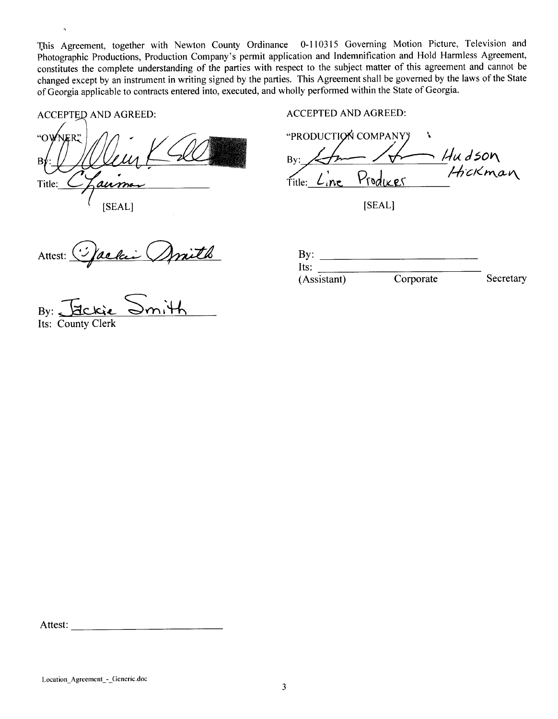This Agreement, together with Newton County Ordinance 0-110315 Governing Motion Picture, Television and Photographic Productions, Production Company's permit application and Indemnification and Hold Harmless Agreement, constitutes the complete understanding of the parties with respect to the subject matter of this agreement and cannot be changed except by an instrument in writing signed by the parties. This Agreement shall be governed by the laws of the State of Georgia applicable to contracts entered into, executed, and wholly performed within the State of Georgia.

## ACCEPTED AND AGREED: ACCEPTED AND AGREED:

 $\hat{\mathcal{A}}$ 

"OWNER"  $\bigcap_{i}$   $\bigcap_{i}$   $\bigcap_{i}$   $\bigcap_{i}$   $\bigcap_{i}$   $\bigcap_{i}$   $\bigcap_{i}$   $\bigcap_{i}$   $\bigcap_{i}$   $\bigcap_{i}$   $\bigcap_{i}$   $\bigcap_{i}$   $\bigcap_{i}$   $\bigcap_{i}$   $\bigcap_{i}$   $\bigcap_{i}$   $\bigcap_{i}$   $\bigcap_{i}$   $\bigcap_{i}$   $\bigcap_{i}$   $\bigcap_{i}$   $\bigcap_{i}$   $\bigcap_{i}$   $\bigcap_{i$ Title: Chairmon SEAL] [SEAL]

 $\mathbf{v}$  $B$  :  $U_{u}$   $V_{u}$   $V_{u}$   $V_{u}$   $V_{u}$   $V_{u}$   $V_{u}$   $V_{u}$   $V_{u}$   $V_{u}$   $V_{u}$   $V_{u}$   $V_{u}$   $V_{u}$   $V_{u}$   $V_{u}$   $V_{u}$   $V_{u}$   $V_{u}$   $V_{u}$   $V_{u}$   $V_{u}$   $V_{u}$   $V_{u}$   $V_{u}$   $V_{u}$   $V_{u}$   $V_{u}$   $V_{u}$   $V_{u}$   $V_{u}$ 

Attest: Packer Smilk By:

B<sub>v</sub> Its: County Clerk

Its: Assistant) Corporate Secretary

Attest: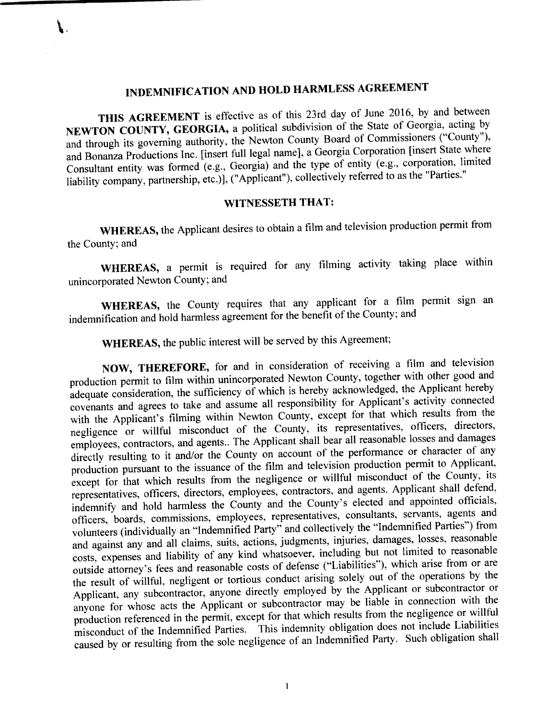## INDEMNIFICATION AND HOLD HARMLESS AGREEMENT

THIS AGREEMENT is effective as of this 23rd day of June 2016, by and between NEWTON COUNTY, GEORGIA, a political subdivision of the State of Georgia, acting by and through its governing authority, the Newton County Board of Commissioners ("County"), and Bonanza Productions Inc. [insert full legal name], a Georgia Corporation [insert State where Consultant entity was formed (e.g., Georgia) and the type of entity (e.g., corporation, limited liability company, partnership, etc.)], (" Applicant"), collectively referred to as the " Parties."

## WITNESSETH THAT:

WHEREAS, the Applicant desires to obtain a film and television production permit from the County; and

WHEREAS, a permit is required for any filming activity taking place within unincorporated Newton County; and

WHEREAS, the County requires that any applicant for <sup>a</sup> film permit sign an indemnification and hold harmless agreement for the benefit of the County; and

WHEREAS, the public interest will be served by this Agreement;

NOW, THEREFORE, for and in consideration of receiving <sup>a</sup> film and television production permit to film within unincorporated Newton County, together with other good and adequate consideration, the sufficiency of which is hereby acknowledged, the Applicant hereby covenants and agrees to take and assume all responsibility for Applicant's activity connected with the Applicant's filming within Newton County, except for that which results from the negligence or willful misconduct of the County, its representatives, officers, directors, employees, contractors, and agents.. The Applicant shall bear all reasonable losses and damages directly resulting to it and/or the County on account of the performance or character of any directly resulting to it and/or the County on account of the performance or character of any production pursuant to the issuance of the film and television production permit to Applicant, except for that which results from the negligence or willful misconduct of the County, its representatives, officers, directors, employees, contractors, and agents. Applicant shall defend, indemnify and hold harmless the County and the County's elected and appointed officials, officers, boards, commissions, employees, representatives, consultants, servants, agents and volunteers (individually an "Indemnified Party" and collectively the "Indemnified Parties") from<br>and against any and all claims, suits, actions, judgments, injuries, damages, losses, reasonable and against any and all claims, suits, actions, judgments, injuries, damages, losses, reasonable costs, expenses and liability of any kind whatsoever, including but not limited to reasonable outside attorney's fees and reasonable costs of defense ("Liabilities"), which arise from or are the result of willful, negligent or tortious conduct arising solely out of the operations by the Applicant, any subcontractor, anyone directly employed by the Applicant or subcontractor or Applicant, any subcontractor, anyone directly employed by the Applicant or subcontractor or anyone for whose acts the Applicant or subcontractor may be habite in connection with the production referenced in the permit, except for that which results from the negligence or willful misconduct of the Indemnified Parties. This indemnity obligation does not include Liabilities caused by or resulting from the sole negligence of an Indemnified Party. Such obligation shall